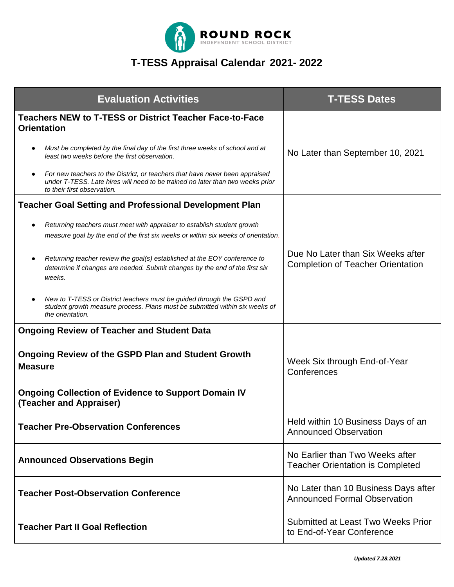

## **T-TESS Appraisal Calendar 2021- 2022**

| <b>Evaluation Activities</b>                                                                                                                                                                               | <b>T-TESS Dates</b>                                                           |
|------------------------------------------------------------------------------------------------------------------------------------------------------------------------------------------------------------|-------------------------------------------------------------------------------|
| <b>Teachers NEW to T-TESS or District Teacher Face-to-Face</b><br><b>Orientation</b>                                                                                                                       |                                                                               |
| Must be completed by the final day of the first three weeks of school and at<br>٠<br>least two weeks before the first observation.                                                                         | No Later than September 10, 2021                                              |
| For new teachers to the District, or teachers that have never been appraised<br>$\bullet$<br>under T-TESS. Late hires will need to be trained no later than two weeks prior<br>to their first observation. |                                                                               |
| <b>Teacher Goal Setting and Professional Development Plan</b>                                                                                                                                              |                                                                               |
| Returning teachers must meet with appraiser to establish student growth<br>measure goal by the end of the first six weeks or within six weeks of orientation.                                              |                                                                               |
| Returning teacher review the goal(s) established at the EOY conference to<br>٠<br>determine if changes are needed. Submit changes by the end of the first six<br>weeks.                                    | Due No Later than Six Weeks after<br><b>Completion of Teacher Orientation</b> |
| New to T-TESS or District teachers must be guided through the GSPD and<br>$\bullet$<br>student growth measure process. Plans must be submitted within six weeks of<br>the orientation.                     |                                                                               |
| <b>Ongoing Review of Teacher and Student Data</b>                                                                                                                                                          |                                                                               |
| <b>Ongoing Review of the GSPD Plan and Student Growth</b><br><b>Measure</b>                                                                                                                                | Week Six through End-of-Year<br>Conferences                                   |
| <b>Ongoing Collection of Evidence to Support Domain IV</b><br>(Teacher and Appraiser)                                                                                                                      |                                                                               |
| <b>Teacher Pre-Observation Conferences</b>                                                                                                                                                                 | Held within 10 Business Days of an<br><b>Announced Observation</b>            |
| <b>Announced Observations Begin</b>                                                                                                                                                                        | No Earlier than Two Weeks after<br><b>Teacher Orientation is Completed</b>    |
| <b>Teacher Post-Observation Conference</b>                                                                                                                                                                 | No Later than 10 Business Days after<br><b>Announced Formal Observation</b>   |
| <b>Teacher Part II Goal Reflection</b>                                                                                                                                                                     | <b>Submitted at Least Two Weeks Prior</b><br>to End-of-Year Conference        |